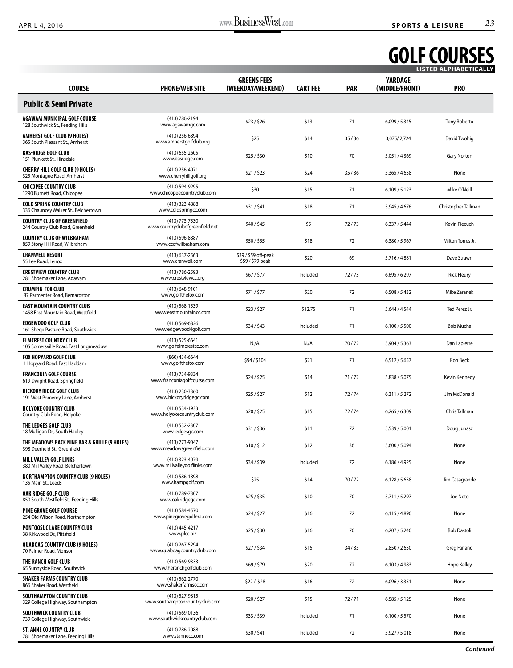## **GOLF COURSES LISTED ALPHABETICALLY**

| <b>COURSE</b>                                                                 | <b>PHONE/WEB SITE</b>                             | <b>GREENS FEES</b><br>(WEEKDAY/WEEKEND)  | <b>CART FEE</b> | <b>PAR</b> | <b>YARDAGE</b><br>(MIDDLE/FRONT) | PR <sub>0</sub>      |
|-------------------------------------------------------------------------------|---------------------------------------------------|------------------------------------------|-----------------|------------|----------------------------------|----------------------|
| <b>Public &amp; Semi Private</b>                                              |                                                   |                                          |                 |            |                                  |                      |
| <b>AGAWAM MUNICIPAL GOLF COURSE</b><br>128 Southwick St., Feeding Hills       | (413) 786-2194<br>www.agawamgc.com                | \$23/\$26                                | \$13            | 71         | 6,099/5,345                      | Tony Roberto         |
| <b>AMHERST GOLF CLUB (9 HOLES)</b><br>365 South Pleasant St., Amherst         | (413) 256-6894<br>www.amherstgolfclub.org         | \$25                                     | \$14            | 35/36      | 3,075/2,724                      | David Twohig         |
| <b>BAS-RIDGE GOLF CLUB</b><br>151 Plunkett St., Hinsdale                      | $(413)$ 655-2605<br>www.basridge.com              | \$25/\$30                                | \$10            | 70         | 5,051 / 4,369                    | <b>Gary Norton</b>   |
| <b>CHERRY HILL GOLF CLUB (9 HOLES)</b><br>325 Montague Road, Amherst          | (413) 256-4071<br>www.cherryhillgolf.org          | \$21/523                                 | \$24            | 35/36      | 5,365 / 4,658                    | None                 |
| <b>CHICOPEE COUNTRY CLUB</b><br>1290 Burnett Road, Chicopee                   | (413) 594-9295<br>www.chicopeecountryclub.com     | \$30                                     | \$15            | 71         | 6,109/5,123                      | Mike O'Neill         |
| <b>COLD SPRING COUNTRY CLUB</b><br>336 Chauncey Walker St., Belchertown       | (413) 323-4888<br>www.coldspringcc.com            | \$31/\$41                                | \$18            | 71         | 5,945 / 4,676                    | Christopher Tallman  |
| <b>COUNTRY CLUB OF GREENFIELD</b><br>244 Country Club Road, Greenfield        | (413) 773-7530<br>www.countryclubofgreenfield.net | \$40/\$45                                | \$5             | 72/73      | 6,337 / 5,444                    | <b>Kevin Piecuch</b> |
| <b>COUNTRY CLUB OF WILBRAHAM</b><br>859 Stony Hill Road, Wilbraham            | (413) 596-8887<br>www.ccofwilbraham.com           | \$50/\$55                                | \$18            | 72         | 6,380 / 5,967                    | Milton Torres Jr.    |
| <b>CRANWELL RESORT</b><br>55 Lee Road, Lenox                                  | $(413)$ 637-2563<br>www.cranwell.com              | \$39 / \$59 off-peak<br>\$59 / \$79 peak | \$20            | 69         | 5,716 / 4,881                    | Dave Strawn          |
| <b>CRESTVIEW COUNTRY CLUB</b><br>281 Shoemaker Lane, Agawam                   | (413) 786-2593<br>www.crestviewcc.org             | \$67/\$77                                | Included        | 72/73      | 6,695/6,297                      | <b>Rick Fleury</b>   |
| <b>CRUMPIN-FOX CLUB</b><br>87 Parmenter Road, Bernardston                     | (413) 648-9101<br>www.golfthefox.com              | \$71/\$77                                | \$20            | 72         | 6,508 / 5,432                    | Mike Zaranek         |
| <b>EAST MOUNTAIN COUNTRY CLUB</b><br>1458 East Mountain Road, Westfield       | (413) 568-1539<br>www.eastmountaincc.com          | \$23/\$27                                | \$12.75         | 71         | 5,644 / 4,544                    | Ted Perez Jr.        |
| <b>EDGEWOOD GOLF CLUB</b><br>161 Sheep Pasture Road, Southwick                | (413) 569-6826<br>www.edgewood4golf.com           | \$34/\$43                                | Included        | 71         | 6,100/5,500                      | <b>Bob Mucha</b>     |
| <b>ELMCREST COUNTRY CLUB</b><br>105 Somersville Road, East Longmeadow         | (413) 525-6641<br>www.golfelmcrestcc.com          | N.A.                                     | N.A.            | 70/72      | 5,904 / 5,363                    | Dan Lapierre         |
| <b>FOX HOPYARD GOLF CLUB</b><br>1 Hopyard Road, East Haddam                   | (860) 434-6644<br>www.golfthefox.com              | \$94/\$104                               | \$21            | 71         | 6,512/5,657                      | <b>Ron Beck</b>      |
| <b>FRANCONIA GOLF COURSE</b><br>619 Dwight Road, Springfield                  | (413) 734-9334<br>www.franconiagolfcourse.com     | \$24/\$25                                | \$14            | 71/72      | 5,838 / 5,075                    | Kevin Kennedy        |
| <b>HICKORY RIDGE GOLF CLUB</b><br>191 West Pomeroy Lane, Amherst              | (413) 230-3360<br>www.hickoryridgegc.com          | \$25/\$27                                | \$12            | 72/74      | 6,311/5,272                      | Jim McDonald         |
| <b>HOLYOKE COUNTRY CLUB</b><br>Country Club Road, Holyoke                     | (413) 534-1933<br>www.holyokecountryclub.com      | \$20/\$25                                | \$15            | 72/74      | 6,265/6,309                      | Chris Tallman        |
| THE LEDGES GOLF CLUB<br>18 Mulligan Dr., South Hadley                         | (413) 532-2307<br>www.ledgesgc.com                | \$31/536                                 | \$11            | 72         | 5,539 / 5,001                    | Doug Juhasz          |
| THE MEADOWS BACK NINE BAR & GRILLE (9 HOLES)<br>398 Deerfield St., Greenfield | (413) 773-9047<br>www.meadowsgreenfield.com       | \$10/\$12                                | \$12            | 36         | 5,600 / 5,094                    | None                 |
| <b>MILL VALLEY GOLF LINKS</b><br>380 Mill Valley Road, Belchertown            | (413) 323-4079<br>www.millvalleygolflinks.com     | \$34/\$39                                | Included        | 72         | 6,186 / 4,925                    | None                 |
| <b>NORTHAMPTON COUNTRY CLUB (9 HOLES)</b><br>135 Main St., Leeds              | (413) 586-1898<br>www.hampgolf.com                | \$25                                     | \$14            | 70/72      | 6,128/5,658                      | Jim Casagrande       |
| OAK RIDGE GOLF CLUB<br>850 South Westfield St., Feeding Hills                 | (413) 789-7307<br>www.oakridgegc.com              | $$25/$ \$35                              | \$10            | 70         | 5,711 / 5,297                    | Joe Noto             |
| <b>PINE GROVE GOLF COURSE</b><br>254 Old Wilson Road, Northampton             | (413) 584-4570<br>www.pinegrovegolfma.com         | \$24/\$27                                | \$16            | 72         | 6,115 / 4,890                    | None                 |
| PONTOOSUC LAKE COUNTRY CLUB<br>38 Kirkwood Dr., Pittsfield                    | (413) 445-4217<br>www.plcc.biz                    | \$25/\$30                                | \$16            | 70         | 6,207/5,240                      | <b>Bob Dastoli</b>   |
| <b>QUABOAG COUNTRY CLUB (9 HOLES)</b><br>70 Palmer Road, Monson               | (413) 267-5294<br>www.quaboagcountryclub.com      | \$27/\$34                                | \$15            | 34/35      | 2,850 / 2,650                    | Greg Farland         |
| THE RANCH GOLF CLUB<br>65 Sunnyside Road, Southwick                           | (413) 569-9333<br>www.theranchgolfclub.com        | \$69/\$79                                | \$20            | 72         | 6,103/4,983                      | Hope Kelley          |
| <b>SHAKER FARMS COUNTRY CLUB</b><br>866 Shaker Road, Westfield                | (413) 562-2770<br>www.shakerfarmscc.com           | \$22/ \$28                               | \$16            | 72         | 6,096/3,351                      | None                 |
| SOUTHAMPTON COUNTRY CLUB<br>329 College Highway, Southampton                  | (413) 527-9815<br>www.southamptoncountryclub.com  | \$20/\$27                                | \$15            | 72/71      | 6,585/5,125                      | None                 |
| SOUTHWICK COUNTRY CLUB<br>739 College Highway, Southwick                      | (413) 569-0136<br>www.southwickcountryclub.com    | \$33/\$39                                | Included        | 71         | 6,100 / 5,570                    | None                 |
| <b>ST. ANNE COUNTRY CLUB</b><br>781 Shoemaker Lane, Feeding Hills             | (413) 786-2088<br>www.stannecc.com                | \$30/\$41                                | Included        | 72         | 5,927 / 5,018                    | None                 |